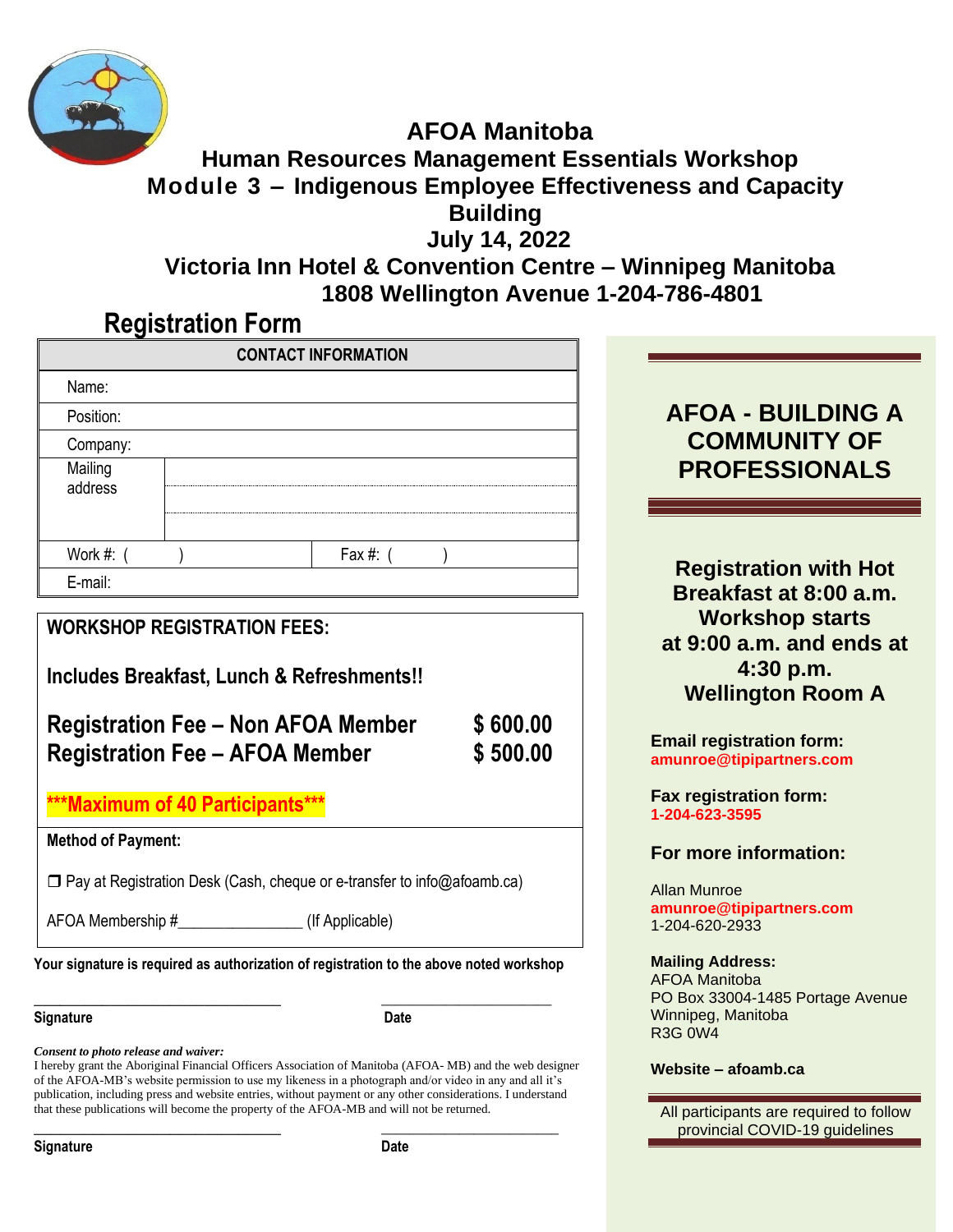

#### **AFOA Manitoba Human Resources Management Essentials Workshop Module 3 – Indigenous Employee Effectiveness and Capacity Building July 14, 2022**

**Victoria Inn Hotel & Convention Centre – Winnipeg Manitoba** **1808 Wellington Avenue 1-204-786-4801**

## **Registration Form**

|                                                                           |                                                                                                                | \$600.00<br>\$500.00                                                                                  |
|---------------------------------------------------------------------------|----------------------------------------------------------------------------------------------------------------|-------------------------------------------------------------------------------------------------------|
|                                                                           |                                                                                                                |                                                                                                       |
|                                                                           |                                                                                                                |                                                                                                       |
| <b>Method of Payment:</b>                                                 |                                                                                                                |                                                                                                       |
| □ Pay at Registration Desk (Cash, cheque or e-transfer to info@afoamb.ca) |                                                                                                                |                                                                                                       |
|                                                                           | <b>WORKSHOP REGISTRATION FEES:</b><br><b>Registration Fee - AFOA Member</b><br>***Maximum of 40 Participants** | Fax #: $($<br>Includes Breakfast, Lunch & Refreshments!!<br><b>Registration Fee – Non AFOA Member</b> |

#### **Signature Date**

*Consent to photo release and waiver:*

I hereby grant the Aboriginal Financial Officers Association of Manitoba (AFOA- MB) and the web designer of the AFOA-MB's website permission to use my likeness in a photograph and/or video in any and all it's publication, including press and website entries, without payment or any other considerations. I understand that these publications will become the property of the AFOA-MB and will not be returned.

**\_\_\_\_\_\_\_\_\_\_\_\_\_\_\_\_\_\_\_\_\_\_\_\_\_\_\_\_\_ \_\_\_\_\_\_\_\_\_\_\_\_\_\_\_\_\_\_\_\_\_\_\_\_\_**

**Signature Date** 

**AFOA - BUILDING A COMMUNITY OF PROFESSIONALS**

**Registration with Hot Breakfast at 8:00 a.m. Workshop starts at 9:00 a.m. and ends at 4:30 p.m. Wellington Room A**

**Email registration form: amunroe@tipipartners.com**

**Fax registration form: 1-204-623-3595**

**For more information:**

Allan Munroe **amunroe@tipipartners.com** 1-204-620-2933

#### **Mailing Address:**

AFOA Manitoba PO Box 33004-1485 Portage Avenue Winnipeg, Manitoba R3G 0W4

#### **Website – afoamb.ca**

All participants are required to follow provincial COVID-19 guidelines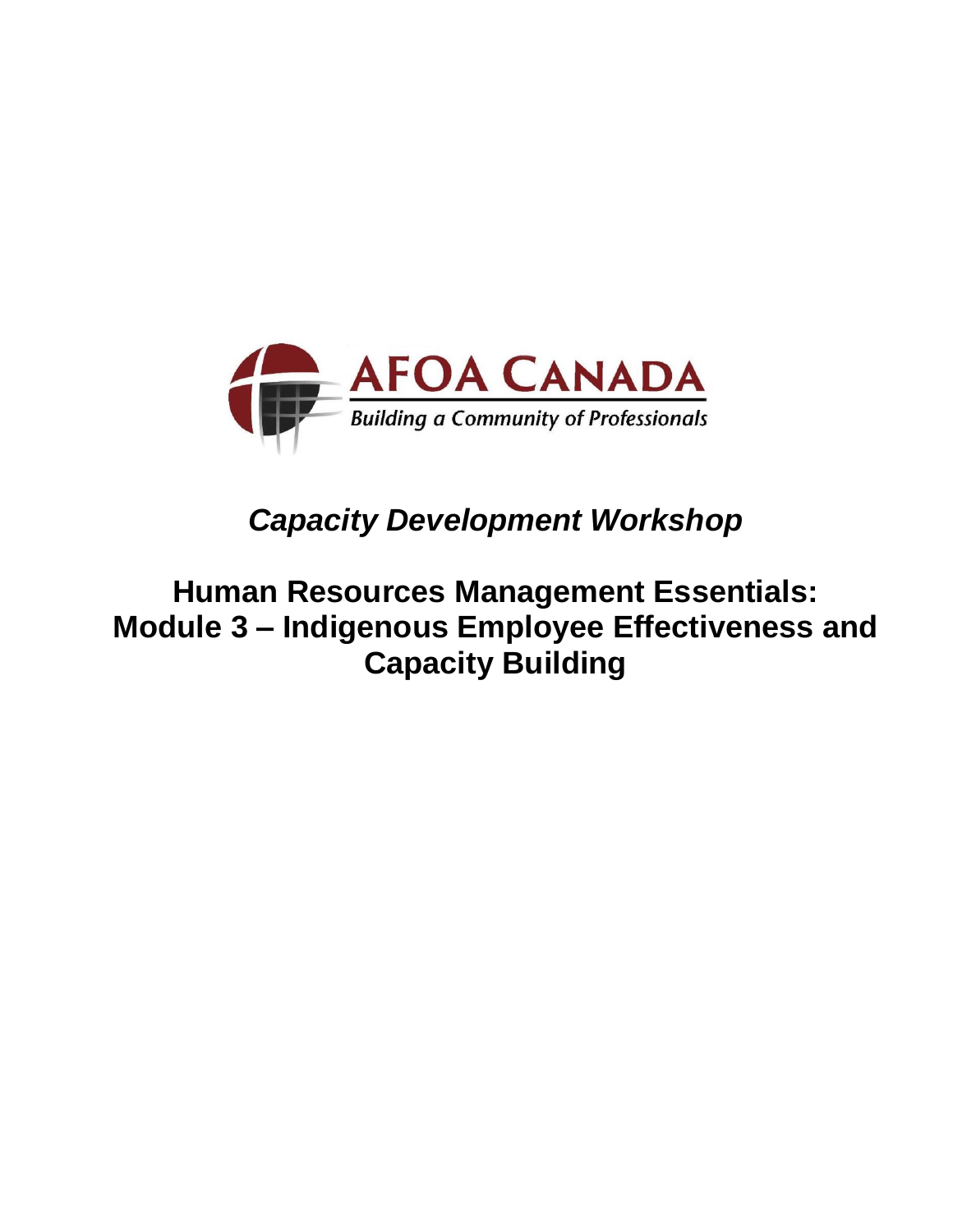

# *Capacity Development Workshop*

## **Human Resources Management Essentials: Module 3 – Indigenous Employee Effectiveness and Capacity Building**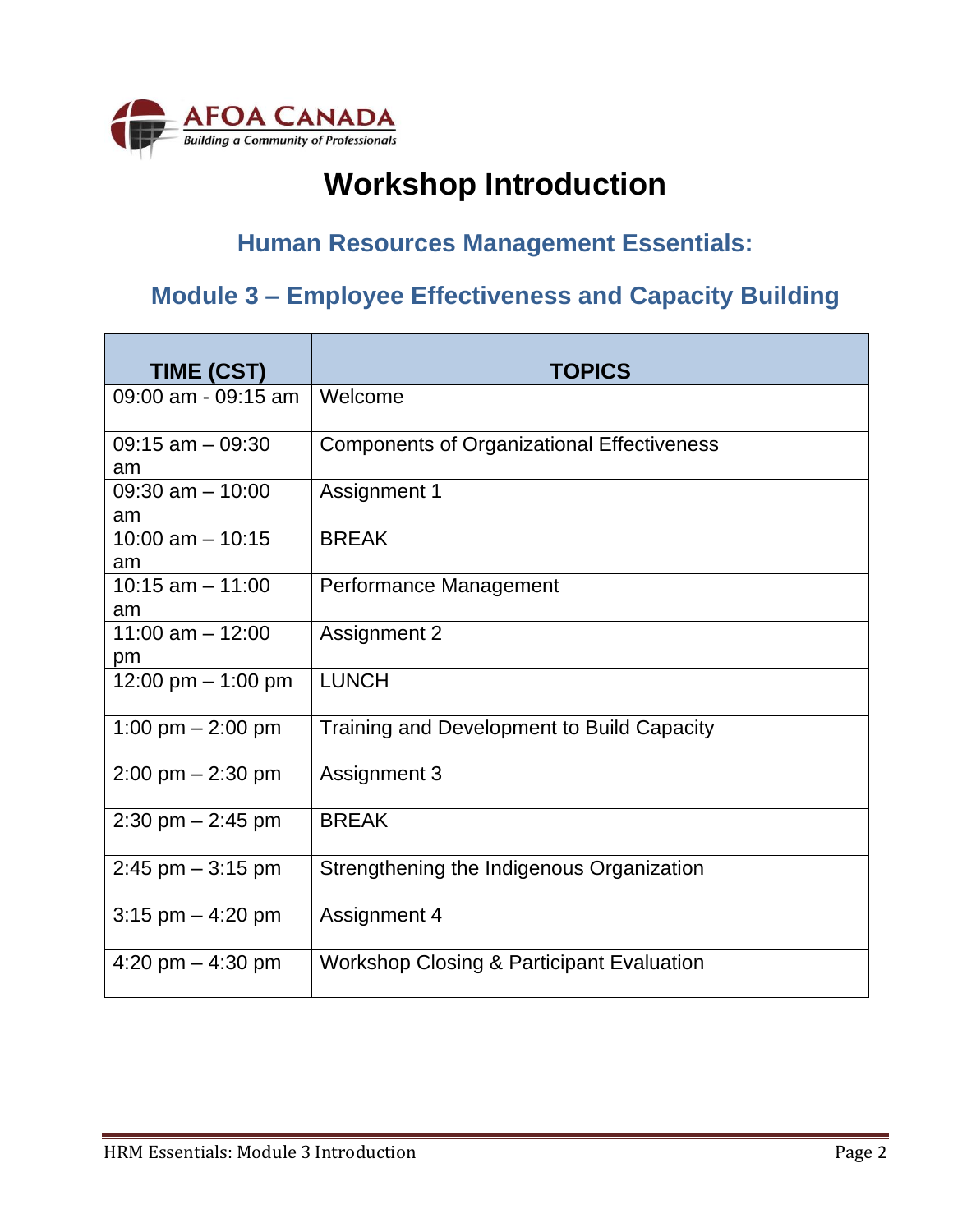

# **Workshop Introduction**

### **Human Resources Management Essentials:**

## **Module 3 – Employee Effectiveness and Capacity Building**

| TIME (CST)                          | <b>TOPICS</b>                                        |
|-------------------------------------|------------------------------------------------------|
| 09:00 am - 09:15 am                 | Welcome                                              |
| $09:15$ am $-09:30$<br>am           | <b>Components of Organizational Effectiveness</b>    |
| $09:30$ am $-10:00$<br>am           | Assignment 1                                         |
| 10:00 am $-$ 10:15<br>am            | <b>BREAK</b>                                         |
| $10:15$ am $- 11:00$<br>am          | Performance Management                               |
| 11:00 am $-$ 12:00<br>pm            | <b>Assignment 2</b>                                  |
| 12:00 pm - 1:00 pm                  | <b>LUNCH</b>                                         |
| 1:00 pm $-$ 2:00 pm                 | <b>Training and Development to Build Capacity</b>    |
| $2:00 \text{ pm} - 2:30 \text{ pm}$ | <b>Assignment 3</b>                                  |
| $2:30$ pm $- 2:45$ pm               | <b>BREAK</b>                                         |
| $2:45$ pm $-3:15$ pm                | Strengthening the Indigenous Organization            |
| 3:15 pm $-$ 4:20 pm                 | Assignment 4                                         |
| 4:20 pm $-$ 4:30 pm                 | <b>Workshop Closing &amp; Participant Evaluation</b> |